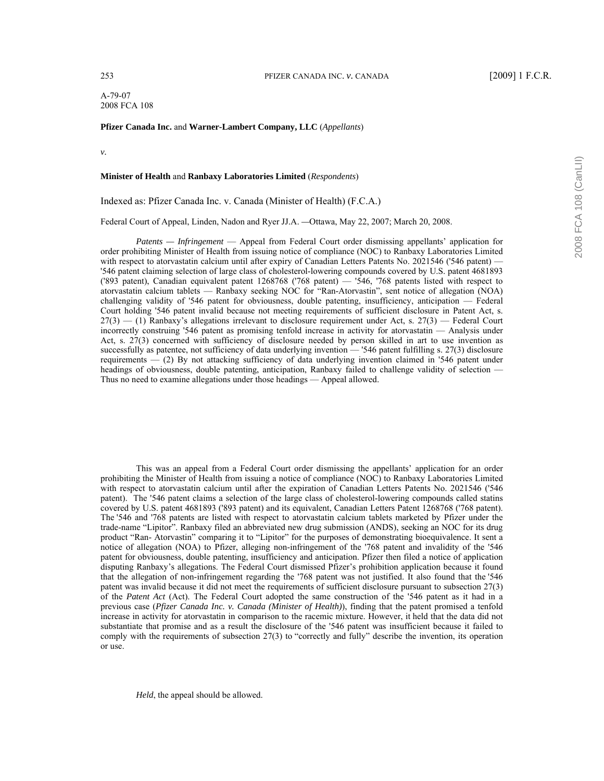A-79-07 2008 FCA 108

## **Pfizer Canada Inc.** and **Warner-Lambert Company, LLC** (*Appellants*)

*v.*

## **Minister of Health** and **Ranbaxy Laboratories Limited** (*Respondents*)

Indexed as: Pfizer Canada Inc. v. Canada (Minister of Health) (F.C.A.)

Federal Court of Appeal, Linden, Nadon and Ryer JJ.A. *—*Ottawa, May 22, 2007; March 20, 2008.

*Patents — Infringement* — Appeal from Federal Court order dismissing appellants' application for order prohibiting Minister of Health from issuing notice of compliance (NOC) to Ranbaxy Laboratories Limited with respect to atorvastatin calcium until after expiry of Canadian Letters Patents No. 2021546 ('546 patent) — '546 patent claiming selection of large class of cholesterol-lowering compounds covered by U.S. patent 4681893 ('893 patent), Canadian equivalent patent  $1268768$  ('768 patent)  $-$  '546, '768 patents listed with respect to atorvastatin calcium tablets — Ranbaxy seeking NOC for "Ran-Atorvastin", sent notice of allegation (NOA) challenging validity of '546 patent for obviousness, double patenting, insufficiency, anticipation – Federal Court holding '546 patent invalid because not meeting requirements of sufficient disclosure in Patent Act, s.  $27(3)$  (1) Ranbaxy's allegations irrelevant to disclosure requirement under Act, s. 27(3) – Federal Court incorrectly construing '546 patent as promising tenfold increase in activity for atorvastatin — Analysis under Act, s. 27(3) concerned with sufficiency of disclosure needed by person skilled in art to use invention as successfully as patentee, not sufficiency of data underlying invention – '546 patent fulfilling s. 27(3) disclosure requirements  $-$  (2) By not attacking sufficiency of data underlying invention claimed in '546 patent under headings of obviousness, double patenting, anticipation, Ranbaxy failed to challenge validity of selection  $-$ Thus no need to examine allegations under those headings — Appeal allowed.

This was an appeal from a Federal Court order dismissing the appellants' application for an order prohibiting the Minister of Health from issuing a notice of compliance (NOC) to Ranbaxy Laboratories Limited with respect to atorvastatin calcium until after the expiration of Canadian Letters Patents No. 2021546 ('546 patent). The '546 patent claims a selection of the large class of cholesterol-lowering compounds called statins covered by U.S. patent 4681893 ('893 patent) and its equivalent, Canadian Letters Patent 1268768 ('768 patent). The '546 and '768 patents are listed with respect to atorvastatin calcium tablets marketed by Pfizer under the trade-name "Lipitor". Ranbaxy filed an abbreviated new drug submission (ANDS), seeking an NOC for its drug product "Ran- Atorvastin" comparing it to "Lipitor" for the purposes of demonstrating bioequivalence. It sent a notice of allegation (NOA) to Pfizer, alleging non-infringement of the '768 patent and invalidity of the '546 patent for obviousness, double patenting, insufficiency and anticipation. Pfizer then filed a notice of application disputing Ranbaxy's allegations. The Federal Court dismissed Pfizer's prohibition application because it found that the allegation of non-infringement regarding the '768 patent was not justified. It also found that the '546 patent was invalid because it did not meet the requirements of sufficient disclosure pursuant to subsection 27(3) of the *Patent Act* (Act). The Federal Court adopted the same construction of the '546 patent as it had in a previous case (*Pfizer Canada Inc. v. Canada (Minister of Health)*), finding that the patent promised a tenfold increase in activity for atorvastatin in comparison to the racemic mixture. However, it held that the data did not substantiate that promise and as a result the disclosure of the '546 patent was insufficient because it failed to comply with the requirements of subsection 27(3) to "correctly and fully" describe the invention, its operation or use.

*Held*, the appeal should be allowed.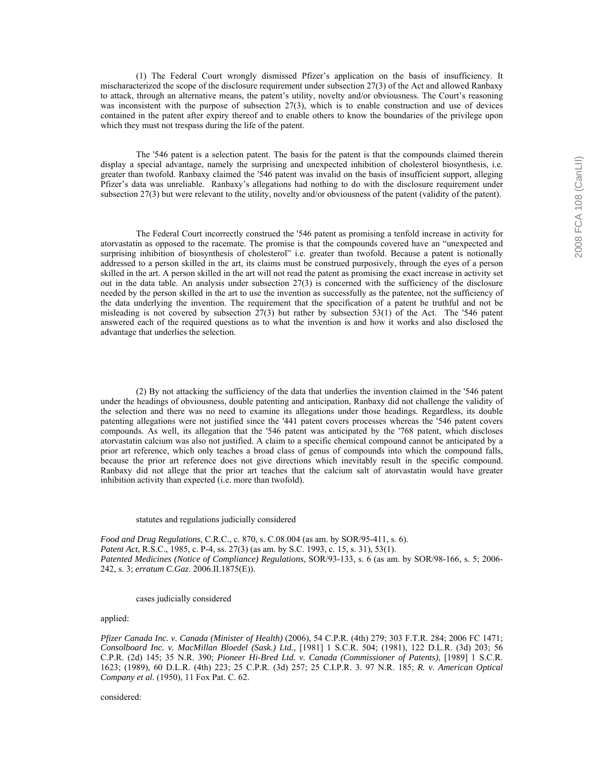(1) The Federal Court wrongly dismissed Pfizerís application on the basis of insufficiency. It mischaracterized the scope of the disclosure requirement under subsection 27(3) of the Act and allowed Ranbaxy to attack, through an alternative means, the patent's utility, novelty and/or obviousness. The Court's reasoning was inconsistent with the purpose of subsection 27(3), which is to enable construction and use of devices contained in the patent after expiry thereof and to enable others to know the boundaries of the privilege upon which they must not trespass during the life of the patent.

 The '546 patent is a selection patent. The basis for the patent is that the compounds claimed therein display a special advantage, namely the surprising and unexpected inhibition of cholesterol biosynthesis, i.e. greater than twofold. Ranbaxy claimed the '546 patent was invalid on the basis of insufficient support, alleging Pfizer's data was unreliable. Ranbaxy's allegations had nothing to do with the disclosure requirement under subsection 27(3) but were relevant to the utility, novelty and/or obviousness of the patent (validity of the patent).

 The Federal Court incorrectly construed the '546 patent as promising a tenfold increase in activity for atorvastatin as opposed to the racemate. The promise is that the compounds covered have an "unexpected and surprising inhibition of biosynthesis of cholesterol" i.e. greater than twofold. Because a patent is notionally addressed to a person skilled in the art, its claims must be construed purposively, through the eyes of a person skilled in the art. A person skilled in the art will not read the patent as promising the exact increase in activity set out in the data table. An analysis under subsection 27(3) is concerned with the sufficiency of the disclosure needed by the person skilled in the art to use the invention as successfully as the patentee, not the sufficiency of the data underlying the invention. The requirement that the specification of a patent be truthful and not be misleading is not covered by subsection  $27(3)$  but rather by subsection  $53(1)$  of the Act. The '546 patent answered each of the required questions as to what the invention is and how it works and also disclosed the advantage that underlies the selection.

 (2) By not attacking the sufficiency of the data that underlies the invention claimed in the '546 patent under the headings of obviousness, double patenting and anticipation, Ranbaxy did not challenge the validity of the selection and there was no need to examine its allegations under those headings. Regardless, its double patenting allegations were not justified since the '441 patent covers processes whereas the '546 patent covers compounds. As well, its allegation that the '546 patent was anticipated by the '768 patent, which discloses atorvastatin calcium was also not justified. A claim to a specific chemical compound cannot be anticipated by a prior art reference, which only teaches a broad class of genus of compounds into which the compound falls, because the prior art reference does not give directions which inevitably result in the specific compound. Ranbaxy did not allege that the prior art teaches that the calcium salt of atorvastatin would have greater inhibition activity than expected (i.e. more than twofold).

#### statutes and regulations judicially considered

*Food and Drug Regulations*, C.R.C., c. 870, s. C.08.004 (as am. by SOR/95-411, s. 6). *Patent Act*, R.S.C., 1985, c. P-4, ss. 27(3) (as am. by S.C. 1993, c. 15, s. 31), 53(1). *Patented Medicines (Notice of Compliance) Regulations*, SOR/93-133, s. 6 (as am. by SOR/98-166, s. 5; 2006- 242, s. 3; *erratum C.Gaz*. 2006.II.1875(E)).

## cases judicially considered

# applied:

*Pfizer Canada Inc. v. Canada (Minister of Health)* (2006), 54 C.P.R. (4th) 279; 303 F.T.R. 284; 2006 FC 1471; *Consolboard Inc. v. MacMillan Bloedel (Sask.) Ltd.*, [1981] 1 S.C.R. 504; (1981), 122 D.L.R. (3d) 203; 56 C.P.R. (2d) 145; 35 N.R. 390; *Pioneer Hi-Bred Ltd. v. Canada (Commissioner of Patents)*, [1989] 1 S.C.R. 1623; (1989), 60 D.L.R. (4th) 223; 25 C.P.R. (3d) 257; 25 C.I.P.R. 3. 97 N.R. 185; *R. v. American Optical Company et al.* (1950), 11 Fox Pat. C. 62.

considered: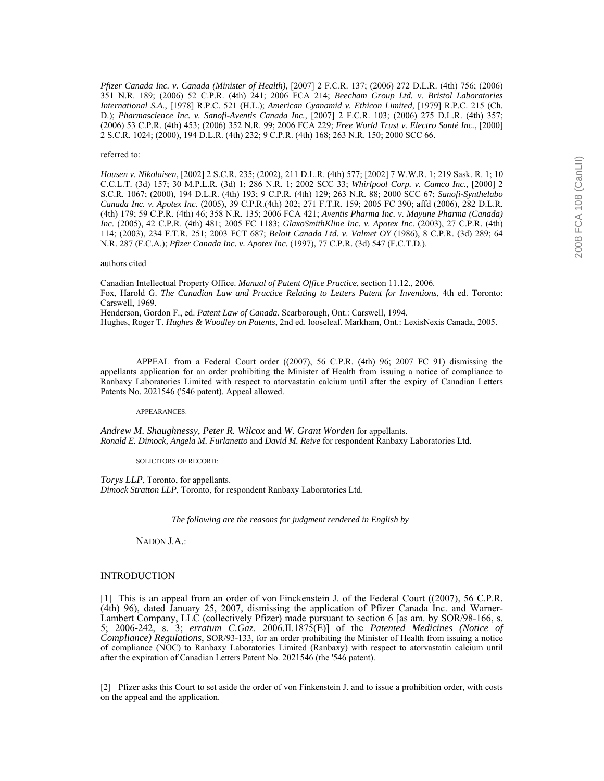*Pfizer Canada Inc. v. Canada (Minister of Health)*, [2007] 2 F.C.R. 137; (2006) 272 D.L.R. (4th) 756; (2006) 351 N.R. 189; (2006) 52 C.P.R. (4th) 241; 2006 FCA 214; *Beecham Group Ltd. v. Bristol Laboratories International S.A.*, [1978] R.P.C. 521 (H.L.); *American Cyanamid v. Ethicon Limited*, [1979] R.P.C. 215 (Ch. D.); *Pharmascience Inc. v. Sanofi-Aventis Canada Inc.*, [2007] 2 F.C.R. 103; (2006) 275 D.L.R. (4th) 357; (2006) 53 C.P.R. (4th) 453; (2006) 352 N.R. 99; 2006 FCA 229; *Free World Trust v. Electro Santé Inc.*, [2000] 2 S.C.R. 1024; (2000), 194 D.L.R. (4th) 232; 9 C.P.R. (4th) 168; 263 N.R. 150; 2000 SCC 66.

#### referred to:

*Housen v. Nikolaisen*, [2002] 2 S.C.R. 235; (2002), 211 D.L.R. (4th) 577; [2002] 7 W.W.R. 1; 219 Sask. R. 1; 10 C.C.L.T. (3d) 157; 30 M.P.L.R. (3d) 1; 286 N.R. 1; 2002 SCC 33; *Whirlpool Corp. v. Camco Inc.*, [2000] 2 S.C.R. 1067; (2000), 194 D.L.R. (4th) 193; 9 C.P.R. (4th) 129; 263 N.R. 88; 2000 SCC 67; *Sanofi-Synthelabo Canada Inc. v. Apotex Inc.* (2005), 39 C.P.R.(4th) 202; 271 F.T.R. 159; 2005 FC 390; affd (2006), 282 D.L.R. (4th) 179; 59 C.P.R. (4th) 46; 358 N.R. 135; 2006 FCA 421; *Aventis Pharma Inc. v. Mayune Pharma (Canada) Inc*. (2005), 42 C.P.R. (4th) 481; 2005 FC 1183; *GlaxoSmithKline Inc. v. Apotex Inc.* (2003), 27 C.P.R. (4th) 114; (2003), 234 F.T.R. 251; 2003 FCT 687; *Beloit Canada Ltd. v. Valmet OY* (1986), 8 C.P.R. (3d) 289; 64 N.R. 287 (F.C.A.); *Pfizer Canada Inc. v. Apotex Inc.* (1997), 77 C.P.R. (3d) 547 (F.C.T.D.).

#### authors cited

Canadian Intellectual Property Office. *Manual of Patent Office Practice*, section 11.12., 2006. Fox, Harold G. *The Canadian Law and Practice Relating to Letters Patent for Inventions*, 4th ed. Toronto: Carswell, 1969. Henderson, Gordon F., ed. *Patent Law of Canada*. Scarborough, Ont.: Carswell, 1994.

Hughes, Roger T. *Hughes & Woodley on Patents*, 2nd ed. looseleaf. Markham, Ont.: LexisNexis Canada, 2005.

 APPEAL from a Federal Court order ((2007), 56 C.P.R. (4th) 96; 2007 FC 91) dismissing the appellants application for an order prohibiting the Minister of Health from issuing a notice of compliance to Ranbaxy Laboratories Limited with respect to atorvastatin calcium until after the expiry of Canadian Letters Patents No. 2021546 ('546 patent). Appeal allowed.

#### APPEARANCES:

*Andrew M. Shaughnessy, Peter R. Wilcox* and *W. Grant Worden* for appellants. *Ronald E. Dimock, Angela M. Furlanetto* and *David M. Reive* for respondent Ranbaxy Laboratories Ltd.

SOLICITORS OF RECORD:

*Torys LLP*, Toronto, for appellants. *Dimock Stratton LLP*, Toronto, for respondent Ranbaxy Laboratories Ltd.

 *The following are the reasons for judgment rendered in English by*

NADON J.A.:

# INTRODUCTION

[1] This is an appeal from an order of von Finckenstein J. of the Federal Court ((2007), 56 C.P.R. (4th) 96), dated January 25, 2007, dismissing the application of Pfizer Canada Inc. and Warner-Lambert Company, LLC (collectively Pfizer) made pursuant to section 6 [as am. by SOR/98-166, s. 5; 2006-242, s. 3; *erratum C.Gaz*. 2006.II.1875(E)] of the *Patented Medicines (Notice of Compliance) Regulations*, SOR/93-133, for an order prohibiting the Minister of Health from issuing a notice of compliance (NOC) to Ranbaxy Laboratories Limited (Ranbaxy) with respect to atorvastatin calcium until after the expiration of Canadian Letters Patent No. 2021546 (the '546 patent).

[2] Pfizer asks this Court to set aside the order of von Finkenstein J. and to issue a prohibition order, with costs on the appeal and the application.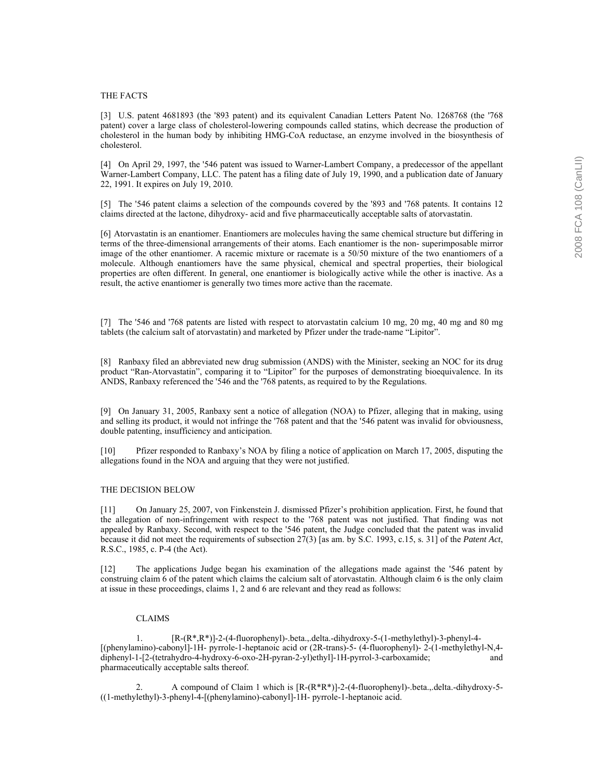#### THE FACTS

[3] U.S. patent 4681893 (the '893 patent) and its equivalent Canadian Letters Patent No. 1268768 (the '768 patent) cover a large class of cholesterol-lowering compounds called statins, which decrease the production of cholesterol in the human body by inhibiting HMG-CoA reductase, an enzyme involved in the biosynthesis of cholesterol.

[4] On April 29, 1997, the '546 patent was issued to Warner-Lambert Company, a predecessor of the appellant Warner-Lambert Company, LLC. The patent has a filing date of July 19, 1990, and a publication date of January 22, 1991. It expires on July 19, 2010.

[5] The '546 patent claims a selection of the compounds covered by the '893 and '768 patents. It contains 12 claims directed at the lactone, dihydroxy- acid and five pharmaceutically acceptable salts of atorvastatin.

[6] Atorvastatin is an enantiomer. Enantiomers are molecules having the same chemical structure but differing in terms of the three-dimensional arrangements of their atoms. Each enantiomer is the non- superimposable mirror image of the other enantiomer. A racemic mixture or racemate is a 50/50 mixture of the two enantiomers of a molecule. Although enantiomers have the same physical, chemical and spectral properties, their biological properties are often different. In general, one enantiomer is biologically active while the other is inactive. As a result, the active enantiomer is generally two times more active than the racemate.

[7] The '546 and '768 patents are listed with respect to atorvastatin calcium 10 mg, 20 mg, 40 mg and 80 mg tablets (the calcium salt of atorvastatin) and marketed by Pfizer under the trade-name "Lipitor".

[8] Ranbaxy filed an abbreviated new drug submission (ANDS) with the Minister, seeking an NOC for its drug product "Ran-Atorvastatin", comparing it to "Lipitor" for the purposes of demonstrating bioequivalence. In its ANDS, Ranbaxy referenced the '546 and the '768 patents, as required to by the Regulations.

[9] On January 31, 2005, Ranbaxy sent a notice of allegation (NOA) to Pfizer, alleging that in making, using and selling its product, it would not infringe the '768 patent and that the '546 patent was invalid for obviousness, double patenting, insufficiency and anticipation.

[10] Pfizer responded to Ranbaxyís NOA by filing a notice of application on March 17, 2005, disputing the allegations found in the NOA and arguing that they were not justified.

## THE DECISION BELOW

[11] On January 25, 2007, von Finkenstein J. dismissed Pfizer's prohibition application. First, he found that the allegation of non-infringement with respect to the '768 patent was not justified. That finding was not appealed by Ranbaxy. Second, with respect to the '546 patent, the Judge concluded that the patent was invalid because it did not meet the requirements of subsection 27(3) [as am. by S.C. 1993, c.15, s. 31] of the *Patent Act*, R.S.C., 1985, c. P-4 (the Act).

[12] The applications Judge began his examination of the allegations made against the '546 patent by construing claim 6 of the patent which claims the calcium salt of atorvastatin. Although claim 6 is the only claim at issue in these proceedings, claims 1, 2 and 6 are relevant and they read as follows:

# CLAIMS

 1. [R-(R\*,R\*)]-2-(4-fluorophenyl)-.beta.,.delta.-dihydroxy-5-(1-methylethyl)-3-phenyl-4- [(phenylamino)-cabonyl]-1H- pyrrole-1-heptanoic acid or (2R-trans)-5- (4-fluorophenyl)- 2-(1-methylethyl-N,4 diphenyl-1-[2-(tetrahydro-4-hydroxy-6-oxo-2H-pyran-2-yl)ethyl]-1H-pyrrol-3-carboxamide; and pharmaceutically acceptable salts thereof.

 2. A compound of Claim 1 which is [R-(R\*R\*)]-2-(4-fluorophenyl)-.beta.,.delta.-dihydroxy-5- ((1-methylethyl)-3-phenyl-4-[(phenylamino)-cabonyl]-1H- pyrrole-1-heptanoic acid.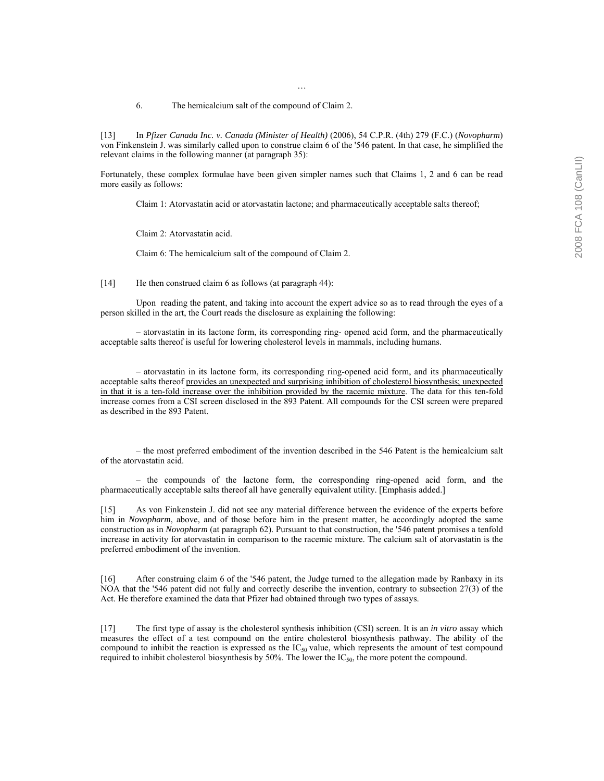#### 6. The hemicalcium salt of the compound of Claim 2.

[13] In *Pfizer Canada Inc. v. Canada (Minister of Health)* (2006), 54 C.P.R. (4th) 279 (F.C.) (*Novopharm*) von Finkenstein J. was similarly called upon to construe claim 6 of the '546 patent. In that case, he simplified the relevant claims in the following manner (at paragraph 35):

Ö

Fortunately, these complex formulae have been given simpler names such that Claims 1, 2 and 6 can be read more easily as follows:

Claim 1: Atorvastatin acid or atorvastatin lactone; and pharmaceutically acceptable salts thereof;

Claim 2: Atorvastatin acid.

Claim 6: The hemicalcium salt of the compound of Claim 2.

[14] He then construed claim 6 as follows (at paragraph 44):

 Upon reading the patent, and taking into account the expert advice so as to read through the eyes of a person skilled in the art, the Court reads the disclosure as explaining the following:

– atorvastatin in its lactone form, its corresponding ring- opened acid form, and the pharmaceutically acceptable salts thereof is useful for lowering cholesterol levels in mammals, including humans.

 $-$  atorvastatin in its lactone form, its corresponding ring-opened acid form, and its pharmaceutically acceptable salts thereof provides an unexpected and surprising inhibition of cholesterol biosynthesis; unexpected in that it is a ten-fold increase over the inhibition provided by the racemic mixture. The data for this ten-fold increase comes from a CSI screen disclosed in the 893 Patent. All compounds for the CSI screen were prepared as described in the 893 Patent.

– the most preferred embodiment of the invention described in the 546 Patent is the hemicalcium salt of the atorvastatin acid.

 $h$  the compounds of the lactone form, the corresponding ring-opened acid form, and the pharmaceutically acceptable salts thereof all have generally equivalent utility. [Emphasis added.]

[15] As von Finkenstein J. did not see any material difference between the evidence of the experts before him in *Novopharm*, above, and of those before him in the present matter, he accordingly adopted the same construction as in *Novopharm* (at paragraph 62). Pursuant to that construction, the '546 patent promises a tenfold increase in activity for atorvastatin in comparison to the racemic mixture. The calcium salt of atorvastatin is the preferred embodiment of the invention.

[16] After construing claim 6 of the '546 patent, the Judge turned to the allegation made by Ranbaxy in its NOA that the '546 patent did not fully and correctly describe the invention, contrary to subsection 27(3) of the Act. He therefore examined the data that Pfizer had obtained through two types of assays.

[17] The first type of assay is the cholesterol synthesis inhibition (CSI) screen. It is an *in vitro* assay which measures the effect of a test compound on the entire cholesterol biosynthesis pathway. The ability of the compound to inhibit the reaction is expressed as the  $IC_{50}$  value, which represents the amount of test compound required to inhibit cholesterol biosynthesis by 50%. The lower the IC<sub>50</sub>, the more potent the compound.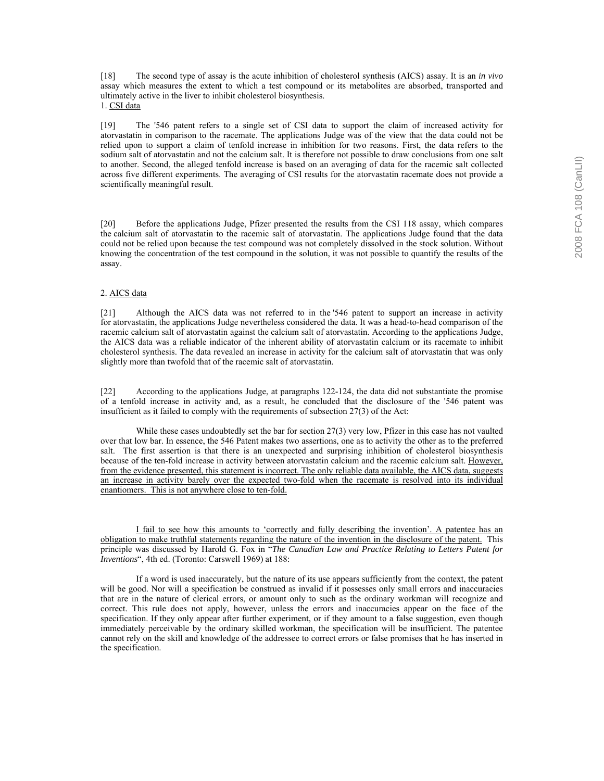[18] The second type of assay is the acute inhibition of cholesterol synthesis (AICS) assay. It is an *in vivo* assay which measures the extent to which a test compound or its metabolites are absorbed, transported and ultimately active in the liver to inhibit cholesterol biosynthesis. 1. CSI data

[19] The '546 patent refers to a single set of CSI data to support the claim of increased activity for atorvastatin in comparison to the racemate. The applications Judge was of the view that the data could not be relied upon to support a claim of tenfold increase in inhibition for two reasons. First, the data refers to the sodium salt of atorvastatin and not the calcium salt. It is therefore not possible to draw conclusions from one salt to another. Second, the alleged tenfold increase is based on an averaging of data for the racemic salt collected across five different experiments. The averaging of CSI results for the atorvastatin racemate does not provide a scientifically meaningful result.

[20] Before the applications Judge, Pfizer presented the results from the CSI 118 assay, which compares the calcium salt of atorvastatin to the racemic salt of atorvastatin. The applications Judge found that the data could not be relied upon because the test compound was not completely dissolved in the stock solution. Without knowing the concentration of the test compound in the solution, it was not possible to quantify the results of the assay.

# 2. AICS data

[21] Although the AICS data was not referred to in the '546 patent to support an increase in activity for atorvastatin, the applications Judge nevertheless considered the data. It was a head-to-head comparison of the racemic calcium salt of atorvastatin against the calcium salt of atorvastatin. According to the applications Judge, the AICS data was a reliable indicator of the inherent ability of atorvastatin calcium or its racemate to inhibit cholesterol synthesis. The data revealed an increase in activity for the calcium salt of atorvastatin that was only slightly more than twofold that of the racemic salt of atorvastatin.

[22] According to the applications Judge, at paragraphs 122-124, the data did not substantiate the promise of a tenfold increase in activity and, as a result, he concluded that the disclosure of the '546 patent was insufficient as it failed to comply with the requirements of subsection 27(3) of the Act:

 While these cases undoubtedly set the bar for section 27(3) very low, Pfizer in this case has not vaulted over that low bar. In essence, the 546 Patent makes two assertions, one as to activity the other as to the preferred salt. The first assertion is that there is an unexpected and surprising inhibition of cholesterol biosynthesis because of the ten-fold increase in activity between atorvastatin calcium and the racemic calcium salt. However, from the evidence presented, this statement is incorrect. The only reliable data available, the AICS data, suggests an increase in activity barely over the expected two-fold when the racemate is resolved into its individual enantiomers. This is not anywhere close to ten-fold.

I fail to see how this amounts to 'correctly and fully describing the invention'. A patentee has an obligation to make truthful statements regarding the nature of the invention in the disclosure of the patent. This principle was discussed by Harold G. Fox in "The Canadian Law and Practice Relating to Letters Patent for *Inventions*", 4th ed. (Toronto: Carswell 1969) at 188:

 If a word is used inaccurately, but the nature of its use appears sufficiently from the context, the patent will be good. Nor will a specification be construed as invalid if it possesses only small errors and inaccuracies that are in the nature of clerical errors, or amount only to such as the ordinary workman will recognize and correct. This rule does not apply, however, unless the errors and inaccuracies appear on the face of the specification. If they only appear after further experiment, or if they amount to a false suggestion, even though immediately perceivable by the ordinary skilled workman, the specification will be insufficient. The patentee cannot rely on the skill and knowledge of the addressee to correct errors or false promises that he has inserted in the specification.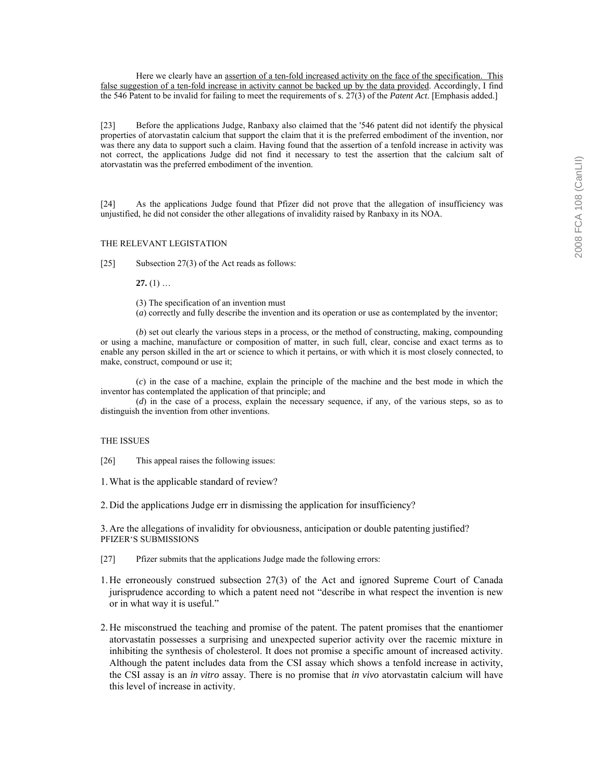Here we clearly have an <u>assertion of a ten-fold increased activity on the face of the specification. This</u> false suggestion of a ten-fold increase in activity cannot be backed up by the data provided. Accordingly, I find the 546 Patent to be invalid for failing to meet the requirements of s. 27(3) of the *Patent Act*. [Emphasis added.]

[23] Before the applications Judge, Ranbaxy also claimed that the '546 patent did not identify the physical properties of atorvastatin calcium that support the claim that it is the preferred embodiment of the invention, nor was there any data to support such a claim. Having found that the assertion of a tenfold increase in activity was not correct, the applications Judge did not find it necessary to test the assertion that the calcium salt of atorvastatin was the preferred embodiment of the invention.

[24] As the applications Judge found that Pfizer did not prove that the allegation of insufficiency was unjustified, he did not consider the other allegations of invalidity raised by Ranbaxy in its NOA.

# THE RELEVANT LEGISTATION

[25] Subsection 27(3) of the Act reads as follows:

**27.**  $(1)$   $\dots$ 

(3) The specification of an invention must

(*a*) correctly and fully describe the invention and its operation or use as contemplated by the inventor;

 (*b*) set out clearly the various steps in a process, or the method of constructing, making, compounding or using a machine, manufacture or composition of matter, in such full, clear, concise and exact terms as to enable any person skilled in the art or science to which it pertains, or with which it is most closely connected, to make, construct, compound or use it;

 (*c*) in the case of a machine, explain the principle of the machine and the best mode in which the inventor has contemplated the application of that principle; and

 (*d*) in the case of a process, explain the necessary sequence, if any, of the various steps, so as to distinguish the invention from other inventions.

# THE ISSUES

[26] This appeal raises the following issues:

1. What is the applicable standard of review?

2. Did the applications Judge err in dismissing the application for insufficiency?

3. Are the allegations of invalidity for obviousness, anticipation or double patenting justified? PFIZER'S SUBMISSIONS

[27] Pfizer submits that the applications Judge made the following errors:

1. He erroneously construed subsection 27(3) of the Act and ignored Supreme Court of Canada jurisprudence according to which a patent need not "describe in what respect the invention is new or in what way it is useful."

2. He misconstrued the teaching and promise of the patent. The patent promises that the enantiomer atorvastatin possesses a surprising and unexpected superior activity over the racemic mixture in inhibiting the synthesis of cholesterol. It does not promise a specific amount of increased activity. Although the patent includes data from the CSI assay which shows a tenfold increase in activity, the CSI assay is an *in vitro* assay. There is no promise that *in vivo* atorvastatin calcium will have this level of increase in activity.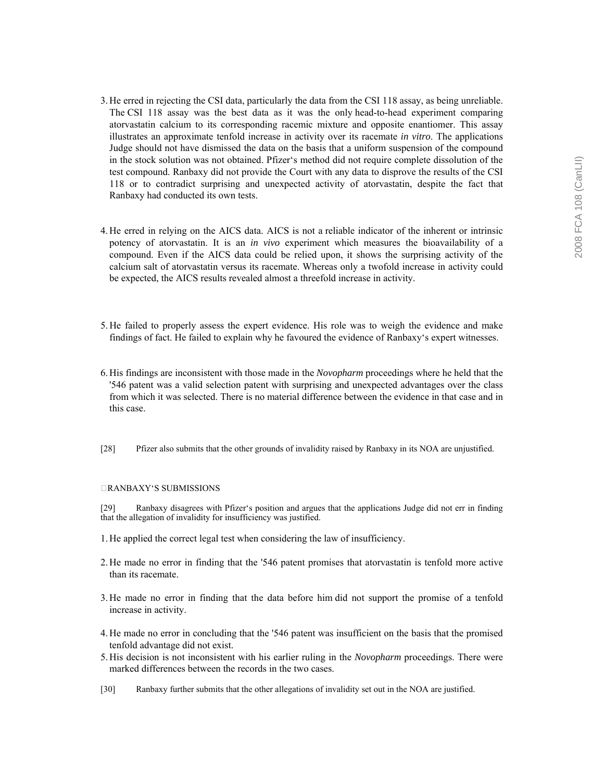- 3. He erred in rejecting the CSI data, particularly the data from the CSI 118 assay, as being unreliable. The CSI 118 assay was the best data as it was the only head-to-head experiment comparing atorvastatin calcium to its corresponding racemic mixture and opposite enantiomer. This assay illustrates an approximate tenfold increase in activity over its racemate *in vitro*. The applications Judge should not have dismissed the data on the basis that a uniform suspension of the compound in the stock solution was not obtained. Pfizerës method did not require complete dissolution of the test compound. Ranbaxy did not provide the Court with any data to disprove the results of the CSI 118 or to contradict surprising and unexpected activity of atorvastatin, despite the fact that Ranbaxy had conducted its own tests.
- 4. He erred in relying on the AICS data. AICS is not a reliable indicator of the inherent or intrinsic potency of atorvastatin. It is an *in vivo* experiment which measures the bioavailability of a compound. Even if the AICS data could be relied upon, it shows the surprising activity of the calcium salt of atorvastatin versus its racemate. Whereas only a twofold increase in activity could be expected, the AICS results revealed almost a threefold increase in activity.
- 5. He failed to properly assess the expert evidence. His role was to weigh the evidence and make findings of fact. He failed to explain why he favoured the evidence of Ranbaxyës expert witnesses.
- 6. His findings are inconsistent with those made in the *Novopharm* proceedings where he held that the '546 patent was a valid selection patent with surprising and unexpected advantages over the class from which it was selected. There is no material difference between the evidence in that case and in this case.
- [28] Pfizer also submits that the other grounds of invalidity raised by Ranbaxy in its NOA are unjustified.

# RANBAXYëS SUBMISSIONS

[29] Ranbaxy disagrees with Pfizerës position and argues that the applications Judge did not err in finding that the allegation of invalidity for insufficiency was justified.

- 1. He applied the correct legal test when considering the law of insufficiency.
- 2. He made no error in finding that the '546 patent promises that atorvastatin is tenfold more active than its racemate.
- 3. He made no error in finding that the data before him did not support the promise of a tenfold increase in activity.
- 4. He made no error in concluding that the '546 patent was insufficient on the basis that the promised tenfold advantage did not exist.
- 5. His decision is not inconsistent with his earlier ruling in the *Novopharm* proceedings. There were marked differences between the records in the two cases.
- [30] Ranbaxy further submits that the other allegations of invalidity set out in the NOA are justified.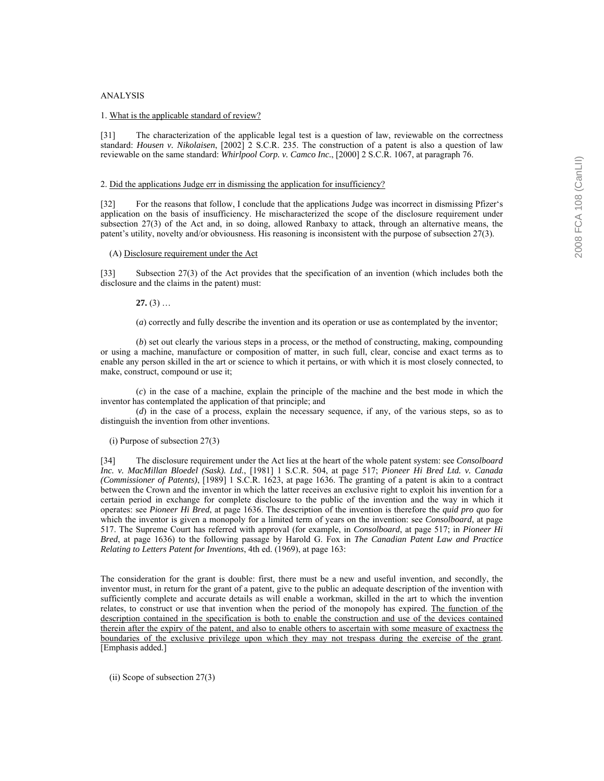#### ANALYSIS

#### 1. What is the applicable standard of review?

[31] The characterization of the applicable legal test is a question of law, reviewable on the correctness standard: *Housen v. Nikolaisen*, [2002] 2 S.C.R. 235. The construction of a patent is also a question of law reviewable on the same standard: *Whirlpool Corp. v. Camco Inc.*, [2000] 2 S.C.R. 1067, at paragraph 76.

## 2. Did the applications Judge err in dismissing the application for insufficiency?

[32] For the reasons that follow, I conclude that the applications Judge was incorrect in dismissing Pfizer's application on the basis of insufficiency. He mischaracterized the scope of the disclosure requirement under subsection 27(3) of the Act and, in so doing, allowed Ranbaxy to attack, through an alternative means, the patent's utility, novelty and/or obviousness. His reasoning is inconsistent with the purpose of subsection 27(3).

## (A) Disclosure requirement under the Act

[33] Subsection 27(3) of the Act provides that the specification of an invention (which includes both the disclosure and the claims in the patent) must:

**27.** (3)  $\dots$ 

(*a*) correctly and fully describe the invention and its operation or use as contemplated by the inventor;

 (*b*) set out clearly the various steps in a process, or the method of constructing, making, compounding or using a machine, manufacture or composition of matter, in such full, clear, concise and exact terms as to enable any person skilled in the art or science to which it pertains, or with which it is most closely connected, to make, construct, compound or use it;

 (*c*) in the case of a machine, explain the principle of the machine and the best mode in which the inventor has contemplated the application of that principle; and

 (*d*) in the case of a process, explain the necessary sequence, if any, of the various steps, so as to distinguish the invention from other inventions.

# (i) Purpose of subsection 27(3)

[34] The disclosure requirement under the Act lies at the heart of the whole patent system: see *Consolboard Inc. v. MacMillan Bloedel (Sask). Ltd.*, [1981] 1 S.C.R. 504, at page 517; *Pioneer Hi Bred Ltd. v. Canada (Commissioner of Patents)*, [1989] 1 S.C.R. 1623, at page 1636. The granting of a patent is akin to a contract between the Crown and the inventor in which the latter receives an exclusive right to exploit his invention for a certain period in exchange for complete disclosure to the public of the invention and the way in which it operates: see *Pioneer Hi Bred*, at page 1636. The description of the invention is therefore the *quid pro quo* for which the inventor is given a monopoly for a limited term of years on the invention: see *Consolboard*, at page 517. The Supreme Court has referred with approval (for example, in *Consolboard*, at page 517; in *Pioneer Hi Bred*, at page 1636) to the following passage by Harold G. Fox in *The Canadian Patent Law and Practice Relating to Letters Patent for Inventions*, 4th ed. (1969), at page 163:

The consideration for the grant is double: first, there must be a new and useful invention, and secondly, the inventor must, in return for the grant of a patent, give to the public an adequate description of the invention with sufficiently complete and accurate details as will enable a workman, skilled in the art to which the invention relates, to construct or use that invention when the period of the monopoly has expired. The function of the description contained in the specification is both to enable the construction and use of the devices contained therein after the expiry of the patent, and also to enable others to ascertain with some measure of exactness the boundaries of the exclusive privilege upon which they may not trespass during the exercise of the grant. [Emphasis added.]

(ii) Scope of subsection 27(3)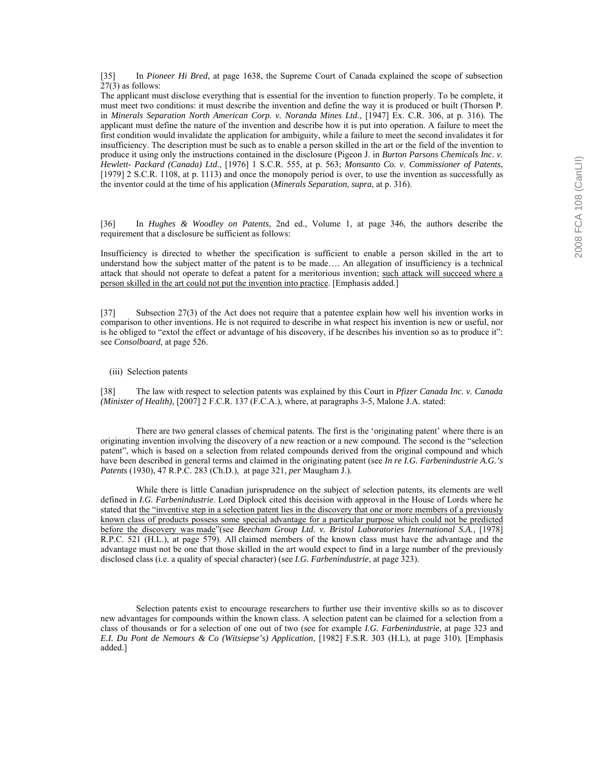[35] In *Pioneer Hi Bred*, at page 1638, the Supreme Court of Canada explained the scope of subsection 27(3) as follows:

The applicant must disclose everything that is essential for the invention to function properly. To be complete, it must meet two conditions: it must describe the invention and define the way it is produced or built (Thorson P. in *Minerals Separation North American Corp. v. Noranda Mines Ltd*., [1947] Ex. C.R. 306, at p. 316). The applicant must define the nature of the invention and describe how it is put into operation. A failure to meet the first condition would invalidate the application for ambiguity, while a failure to meet the second invalidates it for insufficiency. The description must be such as to enable a person skilled in the art or the field of the invention to produce it using only the instructions contained in the disclosure (Pigeon J. in *Burton Parsons Chemicals Inc. v. Hewlett- Packard (Canada) Ltd*., [1976] 1 S.C.R. 555, at p. 563; *Monsanto Co. v. Commissioner of Patents*, [1979] 2 S.C.R. 1108, at p. 1113) and once the monopoly period is over, to use the invention as successfully as the inventor could at the time of his application (*Minerals Separation*, *supra*, at p. 316).

[36] In *Hughes & Woodley on Patents*, 2nd ed., Volume 1, at page 346, the authors describe the requirement that a disclosure be sufficient as follows:

Insufficiency is directed to whether the specification is sufficient to enable a person skilled in the art to understand how the subject matter of the patent is to be made $\ldots$ . An allegation of insufficiency is a technical attack that should not operate to defeat a patent for a meritorious invention; such attack will succeed where a person skilled in the art could not put the invention into practice. [Emphasis added.]

[37] Subsection 27(3) of the Act does not require that a patentee explain how well his invention works in comparison to other inventions. He is not required to describe in what respect his invention is new or useful, nor is he obliged to "extol the effect or advantage of his discovery, if he describes his invention so as to produce it": see *Consolboard*, at page 526.

(iii) Selection patents

[38] The law with respect to selection patents was explained by this Court in *Pfizer Canada Inc. v. Canada (Minister of Health)*, [2007] 2 F.C.R. 137 (F.C.A.), where, at paragraphs 3-5, Malone J.A. stated:

There are two general classes of chemical patents. The first is the 'originating patent' where there is an originating invention involving the discovery of a new reaction or a new compound. The second is the "selection patent", which is based on a selection from related compounds derived from the original compound and which have been described in general terms and claimed in the originating patent (see *In re I.G. Farbenindustrie A.G.'s Patents* (1930), 47 R.P.C. 283 (Ch.D.), at page 321, *per* Maugham J.).

 While there is little Canadian jurisprudence on the subject of selection patents, its elements are well defined in *I.G. Farbenindustrie*. Lord Diplock cited this decision with approval in the House of Lords where he stated that the "inventive step in a selection patent lies in the discovery that one or more members of a previously known class of products possess some special advantage for a particular purpose which could not be predicted before the discovery was made<sup>"</sup>(see *Beecham Group Ltd. v. Bristol Laboratories International S.A.*, [1978] R.P.C. 521 (H.L.), at page 579). All claimed members of the known class must have the advantage and the advantage must not be one that those skilled in the art would expect to find in a large number of the previously disclosed class (i.e. a quality of special character) (see *I.G. Farbenindustrie*, at page 323).

 Selection patents exist to encourage researchers to further use their inventive skills so as to discover new advantages for compounds within the known class. A selection patent can be claimed for a selection from a class of thousands or for a selection of one out of two (see for example *I.G. Farbenindustrie*, at page 323 and *E.I. Du Pont de Nemours & Co (Witsiepse's) Application*, [1982] F.S.R. 303 (H.L), at page 310). [Emphasis added.]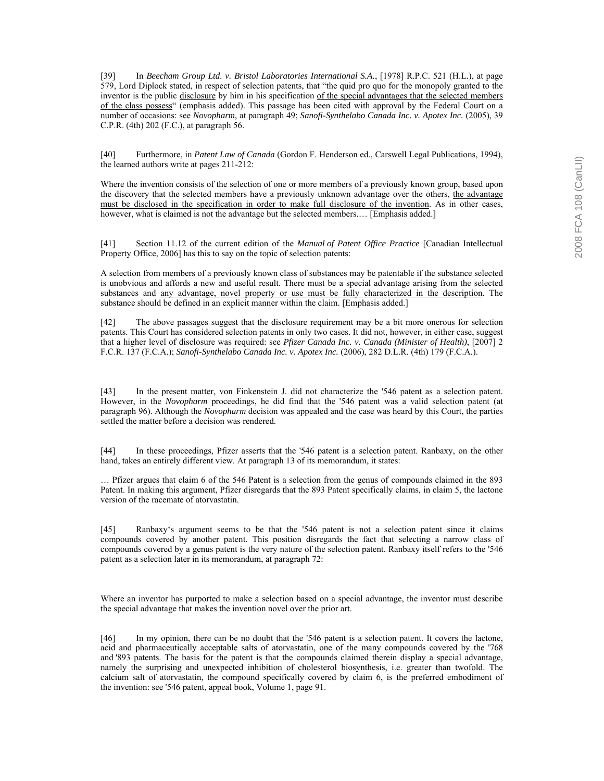[39] In *Beecham Group Ltd. v. Bristol Laboratories International S.A.*, [1978] R.P.C. 521 (H.L.), at page 579, Lord Diplock stated, in respect of selection patents, that "the quid pro quo for the monopoly granted to the inventor is the public disclosure by him in his specification of the special advantages that the selected members of the class possess<sup>"</sup> (emphasis added). This passage has been cited with approval by the Federal Court on a number of occasions: see *Novopharm*, at paragraph 49; *Sanofi-Synthelabo Canada Inc. v. Apotex Inc.* (2005), 39 C.P.R. (4th) 202 (F.C.), at paragraph 56.

[40] Furthermore, in *Patent Law of Canada* (Gordon F. Henderson ed., Carswell Legal Publications, 1994), the learned authors write at pages 211-212:

Where the invention consists of the selection of one or more members of a previously known group, based upon the discovery that the selected members have a previously unknown advantage over the others, the advantage must be disclosed in the specification in order to make full disclosure of the invention. As in other cases, however, what is claimed is not the advantage but the selected members.... [Emphasis added.]

[41] Section 11.12 of the current edition of the *Manual of Patent Office Practice* [Canadian Intellectual Property Office, 2006] has this to say on the topic of selection patents:

A selection from members of a previously known class of substances may be patentable if the substance selected is unobvious and affords a new and useful result. There must be a special advantage arising from the selected substances and <u>any advantage, novel property or use must be fully characterized in the description</u>. The substance should be defined in an explicit manner within the claim. [Emphasis added.]

[42] The above passages suggest that the disclosure requirement may be a bit more onerous for selection patents. This Court has considered selection patents in only two cases. It did not, however, in either case, suggest that a higher level of disclosure was required: see *Pfizer Canada Inc. v. Canada (Minister of Health)*, [2007] 2 F.C.R. 137 (F.C.A.); *Sanofi-Synthelabo Canada Inc. v. Apotex Inc.* (2006), 282 D.L.R. (4th) 179 (F.C.A.).

[43] In the present matter, von Finkenstein J. did not characterize the '546 patent as a selection patent. However, in the *Novopharm* proceedings, he did find that the '546 patent was a valid selection patent (at paragraph 96). Although the *Novopharm* decision was appealed and the case was heard by this Court, the parties settled the matter before a decision was rendered.

[44] In these proceedings, Pfizer asserts that the '546 patent is a selection patent. Ranbaxy, on the other hand, takes an entirely different view. At paragraph 13 of its memorandum, it states:

Ö Pfizer argues that claim 6 of the 546 Patent is a selection from the genus of compounds claimed in the 893 Patent. In making this argument, Pfizer disregards that the 893 Patent specifically claims, in claim 5, the lactone version of the racemate of atorvastatin.

[45] Ranbaxyës argument seems to be that the '546 patent is not a selection patent since it claims compounds covered by another patent. This position disregards the fact that selecting a narrow class of compounds covered by a genus patent is the very nature of the selection patent. Ranbaxy itself refers to the '546 patent as a selection later in its memorandum, at paragraph 72:

Where an inventor has purported to make a selection based on a special advantage, the inventor must describe the special advantage that makes the invention novel over the prior art.

[46] In my opinion, there can be no doubt that the '546 patent is a selection patent. It covers the lactone, acid and pharmaceutically acceptable salts of atorvastatin, one of the many compounds covered by the '768 and '893 patents. The basis for the patent is that the compounds claimed therein display a special advantage, namely the surprising and unexpected inhibition of cholesterol biosynthesis, i.e. greater than twofold. The calcium salt of atorvastatin, the compound specifically covered by claim 6, is the preferred embodiment of the invention: see '546 patent, appeal book, Volume 1, page 91.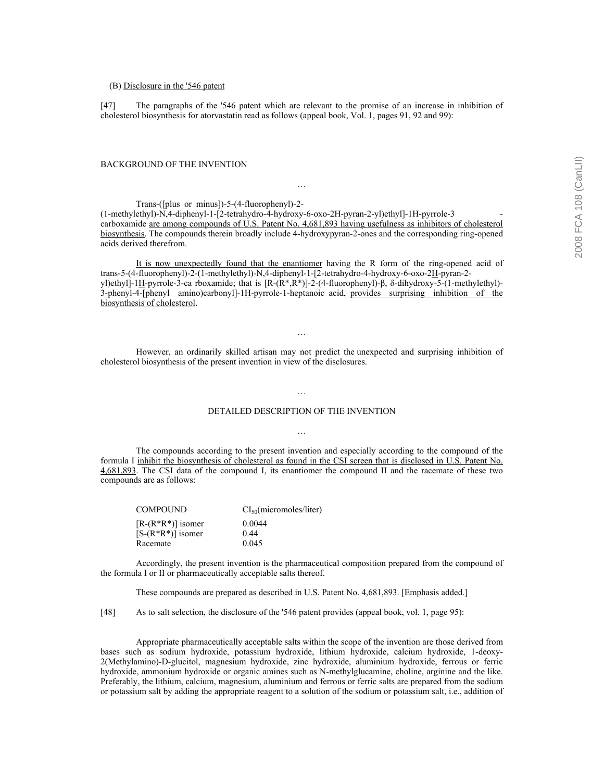#### (B) Disclosure in the '546 patent

[47] The paragraphs of the '546 patent which are relevant to the promise of an increase in inhibition of cholesterol biosynthesis for atorvastatin read as follows (appeal book, Vol. 1, pages 91, 92 and 99):

#### BACKGROUND OF THE INVENTION

Trans-([plus or minus])-5-(4-fluorophenyl)-2-

(1-methylethyl)-N,4-diphenyl-1-[2-tetrahydro-4-hydroxy-6-oxo-2H-pyran-2-yl)ethyl]-1H-pyrrole-3 carboxamide are among compounds of U.S. Patent No. 4,681,893 having usefulness as inhibitors of cholesterol biosynthesis. The compounds therein broadly include 4-hydroxypyran-2-ones and the corresponding ring-opened acids derived therefrom.

Ö

 It is now unexpectedly found that the enantiomer having the R form of the ring-opened acid of trans-5-(4-fluorophenyl)-2-(1-methylethyl)-N,4-diphenyl-1-[2-tetrahydro-4-hydroxy-6-oxo-2H-pyran-2 yl)ethyl]-1H-pyrrole-3-ca rboxamide; that is [R-(R\*,R\*)]-2-(4-fluorophenyl)-β, δ-dihydroxy-5-(1-methylethyl)- 3-phenyl-4-[phenyl amino)carbonyl]-1H-pyrrole-1-heptanoic acid, provides surprising inhibition of the biosynthesis of cholesterol.

 However, an ordinarily skilled artisan may not predict the unexpected and surprising inhibition of cholesterol biosynthesis of the present invention in view of the disclosures.

 $\ddotsc$ 

# DETAILED DESCRIPTION OF THE INVENTION Ö

 $\ddotsc$ 

 The compounds according to the present invention and especially according to the compound of the formula I inhibit the biosynthesis of cholesterol as found in the CSI screen that is disclosed in U.S. Patent No. 4,681,893. The CSI data of the compound I, its enantiomer the compound II and the racemate of these two compounds are as follows:

| <b>COMPOUND</b>       | CI <sub>50</sub> (micromoles/liter) |
|-----------------------|-------------------------------------|
| $[R-(R^*R^*)]$ isomer | 0.0044                              |
| $[S-(R^*R^*)]$ isomer | 0.44                                |
| Racemate              | 0.045                               |

 Accordingly, the present invention is the pharmaceutical composition prepared from the compound of the formula I or II or pharmaceutically acceptable salts thereof.

These compounds are prepared as described in U.S. Patent No. 4,681,893. [Emphasis added.]

[48] As to salt selection, the disclosure of the '546 patent provides (appeal book, vol. 1, page 95):

 Appropriate pharmaceutically acceptable salts within the scope of the invention are those derived from bases such as sodium hydroxide, potassium hydroxide, lithium hydroxide, calcium hydroxide, 1-deoxy-2(Methylamino)-D-glucitol, magnesium hydroxide, zinc hydroxide, aluminium hydroxide, ferrous or ferric hydroxide, ammonium hydroxide or organic amines such as N-methylglucamine, choline, arginine and the like. Preferably, the lithium, calcium, magnesium, aluminium and ferrous or ferric salts are prepared from the sodium or potassium salt by adding the appropriate reagent to a solution of the sodium or potassium salt, i.e., addition of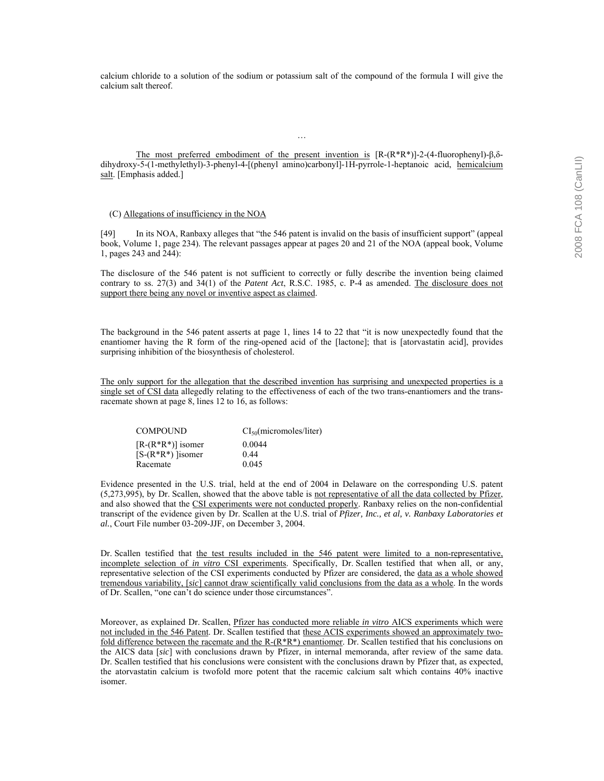calcium chloride to a solution of the sodium or potassium salt of the compound of the formula I will give the calcium salt thereof.

 The most preferred embodiment of the present invention is [R-(R\*R\*)]-2-(4-fluorophenyl)-β,δdihydroxy-5-(1-methylethyl)-3-phenyl-4-[(phenyl amino)carbonyl]-1H-pyrrole-1-heptanoic acid, hemicalcium salt. [Emphasis added.]

 $\ddotsc$ 

## (C) Allegations of insufficiency in the NOA

[49] In its NOA, Ranbaxy alleges that "the 546 patent is invalid on the basis of insufficient support" (appeal book, Volume 1, page 234). The relevant passages appear at pages 20 and 21 of the NOA (appeal book, Volume 1, pages 243 and 244):

The disclosure of the 546 patent is not sufficient to correctly or fully describe the invention being claimed contrary to ss. 27(3) and 34(1) of the *Patent Act*, R.S.C. 1985, c. P-4 as amended. The disclosure does not support there being any novel or inventive aspect as claimed.

The background in the 546 patent asserts at page 1, lines 14 to 22 that "it is now unexpectedly found that the enantiomer having the R form of the ring-opened acid of the [lactone]; that is [atorvastatin acid], provides surprising inhibition of the biosynthesis of cholesterol.

The only support for the allegation that the described invention has surprising and unexpected properties is a single set of CSI data allegedly relating to the effectiveness of each of the two trans-enantiomers and the transracemate shown at page 8, lines 12 to 16, as follows:

| <b>COMPOUND</b>       | CI <sub>50</sub> (micromoles/liter) |
|-----------------------|-------------------------------------|
| $[R-(R^*R^*)]$ isomer | 0.0044                              |
| $[S-(R^*R^*)]$ isomer | 0.44                                |
| Racemate              | 0.045                               |

Evidence presented in the U.S. trial, held at the end of 2004 in Delaware on the corresponding U.S. patent (5,273,995), by Dr. Scallen, showed that the above table is not representative of all the data collected by Pfizer, and also showed that the CSI experiments were not conducted properly. Ranbaxy relies on the non-confidential transcript of the evidence given by Dr. Scallen at the U.S. trial of *Pfizer, Inc., et al, v. Ranbaxy Laboratories et al.*, Court File number 03-209-JJF, on December 3, 2004.

Dr. Scallen testified that the test results included in the 546 patent were limited to a non-representative, incomplete selection of *in vitro* CSI experiments. Specifically, Dr. Scallen testified that when all, or any, representative selection of the CSI experiments conducted by Pfizer are considered, the data as a whole showed tremendous variability, [*sic*] cannot draw scientifically valid conclusions from the data as a whole. In the words of Dr. Scallen, "one can't do science under those circumstances".

Moreover, as explained Dr. Scallen, Pfizer has conducted more reliable *in vitro* AICS experiments which were not included in the 546 Patent. Dr. Scallen testified that these ACIS experiments showed an approximately twofold difference between the racemate and the  $R-(R^*R^*)$  enantiomer. Dr. Scallen testified that his conclusions on the AICS data [*sic*] with conclusions drawn by Pfizer, in internal memoranda, after review of the same data. Dr. Scallen testified that his conclusions were consistent with the conclusions drawn by Pfizer that, as expected, the atorvastatin calcium is twofold more potent that the racemic calcium salt which contains 40% inactive isomer.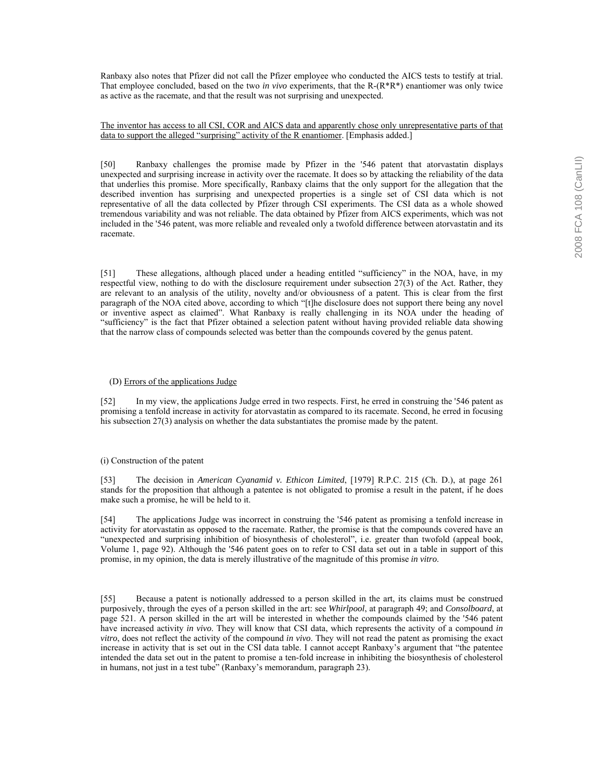Ranbaxy also notes that Pfizer did not call the Pfizer employee who conducted the AICS tests to testify at trial. That employee concluded, based on the two *in vivo* experiments, that the R-(R\*R\*) enantiomer was only twice as active as the racemate, and that the result was not surprising and unexpected.

The inventor has access to all CSI, COR and AICS data and apparently chose only unrepresentative parts of that data to support the alleged "surprising" activity of the R enantiomer. [Emphasis added.]

[50] Ranbaxy challenges the promise made by Pfizer in the '546 patent that atorvastatin displays unexpected and surprising increase in activity over the racemate. It does so by attacking the reliability of the data that underlies this promise. More specifically, Ranbaxy claims that the only support for the allegation that the described invention has surprising and unexpected properties is a single set of CSI data which is not representative of all the data collected by Pfizer through CSI experiments. The CSI data as a whole showed tremendous variability and was not reliable. The data obtained by Pfizer from AICS experiments, which was not included in the '546 patent, was more reliable and revealed only a twofold difference between atorvastatin and its racemate.

[51] These allegations, although placed under a heading entitled "sufficiency" in the NOA, have, in my respectful view, nothing to do with the disclosure requirement under subsection 27(3) of the Act. Rather, they are relevant to an analysis of the utility, novelty and/or obviousness of a patent. This is clear from the first paragraph of the NOA cited above, according to which "[t]he disclosure does not support there being any novel or inventive aspect as claimedî. What Ranbaxy is really challenging in its NOA under the heading of ìsufficiencyî is the fact that Pfizer obtained a selection patent without having provided reliable data showing that the narrow class of compounds selected was better than the compounds covered by the genus patent.

#### (D) Errors of the applications Judge

[52] In my view, the applications Judge erred in two respects. First, he erred in construing the '546 patent as promising a tenfold increase in activity for atorvastatin as compared to its racemate. Second, he erred in focusing his subsection 27(3) analysis on whether the data substantiates the promise made by the patent.

# (i) Construction of the patent

[53] The decision in *American Cyanamid v. Ethicon Limited*, [1979] R.P.C. 215 (Ch. D.), at page 261 stands for the proposition that although a patentee is not obligated to promise a result in the patent, if he does make such a promise, he will be held to it.

[54] The applications Judge was incorrect in construing the '546 patent as promising a tenfold increase in activity for atorvastatin as opposed to the racemate. Rather, the promise is that the compounds covered have an "unexpected and surprising inhibition of biosynthesis of cholesterol", i.e. greater than twofold (appeal book, Volume 1, page 92). Although the '546 patent goes on to refer to CSI data set out in a table in support of this promise, in my opinion, the data is merely illustrative of the magnitude of this promise *in vitro*.

[55] Because a patent is notionally addressed to a person skilled in the art, its claims must be construed purposively, through the eyes of a person skilled in the art: see *Whirlpool*, at paragraph 49; and *Consolboard*, at page 521. A person skilled in the art will be interested in whether the compounds claimed by the '546 patent have increased activity *in vivo*. They will know that CSI data, which represents the activity of a compound *in vitro*, does not reflect the activity of the compound *in vivo*. They will not read the patent as promising the exact increase in activity that is set out in the CSI data table. I cannot accept Ranbaxy's argument that "the patentee" intended the data set out in the patent to promise a ten-fold increase in inhibiting the biosynthesis of cholesterol in humans, not just in a test tube" (Ranbaxy's memorandum, paragraph 23).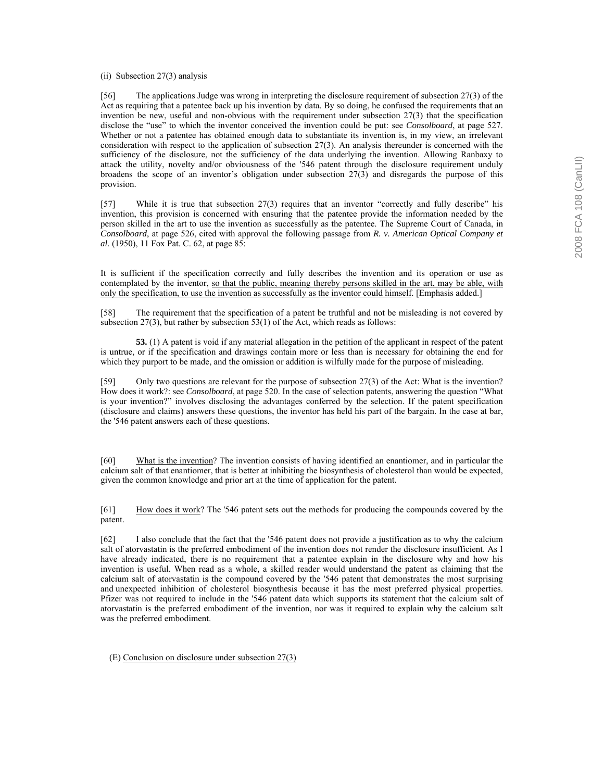(ii) Subsection 27(3) analysis

[56] The applications Judge was wrong in interpreting the disclosure requirement of subsection 27(3) of the Act as requiring that a patentee back up his invention by data. By so doing, he confused the requirements that an invention be new, useful and non-obvious with the requirement under subsection 27(3) that the specification disclose the "use" to which the inventor conceived the invention could be put: see *Consolboard*, at page 527. Whether or not a patentee has obtained enough data to substantiate its invention is, in my view, an irrelevant consideration with respect to the application of subsection 27(3). An analysis thereunder is concerned with the sufficiency of the disclosure, not the sufficiency of the data underlying the invention. Allowing Ranbaxy to attack the utility, novelty and/or obviousness of the '546 patent through the disclosure requirement unduly broadens the scope of an inventor's obligation under subsection  $27(3)$  and disregards the purpose of this provision.

 $[57]$  While it is true that subsection 27(3) requires that an inventor "correctly and fully describe" his invention, this provision is concerned with ensuring that the patentee provide the information needed by the person skilled in the art to use the invention as successfully as the patentee. The Supreme Court of Canada, in *Consolboard*, at page 526, cited with approval the following passage from *R. v. American Optical Company et al.* (1950), 11 Fox Pat. C. 62, at page 85:

It is sufficient if the specification correctly and fully describes the invention and its operation or use as contemplated by the inventor, so that the public, meaning thereby persons skilled in the art, may be able, with only the specification, to use the invention as successfully as the inventor could himself. [Emphasis added.]

[58] The requirement that the specification of a patent be truthful and not be misleading is not covered by subsection 27(3), but rather by subsection 53(1) of the Act, which reads as follows:

 **53.** (1) A patent is void if any material allegation in the petition of the applicant in respect of the patent is untrue, or if the specification and drawings contain more or less than is necessary for obtaining the end for which they purport to be made, and the omission or addition is wilfully made for the purpose of misleading.

[59] Only two questions are relevant for the purpose of subsection 27(3) of the Act: What is the invention? How does it work?: see *Consolboard*, at page 520. In the case of selection patents, answering the question "What is your invention?" involves disclosing the advantages conferred by the selection. If the patent specification (disclosure and claims) answers these questions, the inventor has held his part of the bargain. In the case at bar, the '546 patent answers each of these questions.

[60] What is the invention? The invention consists of having identified an enantiomer, and in particular the calcium salt of that enantiomer, that is better at inhibiting the biosynthesis of cholesterol than would be expected, given the common knowledge and prior art at the time of application for the patent.

[61] How does it work? The '546 patent sets out the methods for producing the compounds covered by the patent.

[62] I also conclude that the fact that the '546 patent does not provide a justification as to why the calcium salt of atorvastatin is the preferred embodiment of the invention does not render the disclosure insufficient. As I have already indicated, there is no requirement that a patentee explain in the disclosure why and how his invention is useful. When read as a whole, a skilled reader would understand the patent as claiming that the calcium salt of atorvastatin is the compound covered by the '546 patent that demonstrates the most surprising and unexpected inhibition of cholesterol biosynthesis because it has the most preferred physical properties. Pfizer was not required to include in the '546 patent data which supports its statement that the calcium salt of atorvastatin is the preferred embodiment of the invention, nor was it required to explain why the calcium salt was the preferred embodiment.

(E) Conclusion on disclosure under subsection 27(3)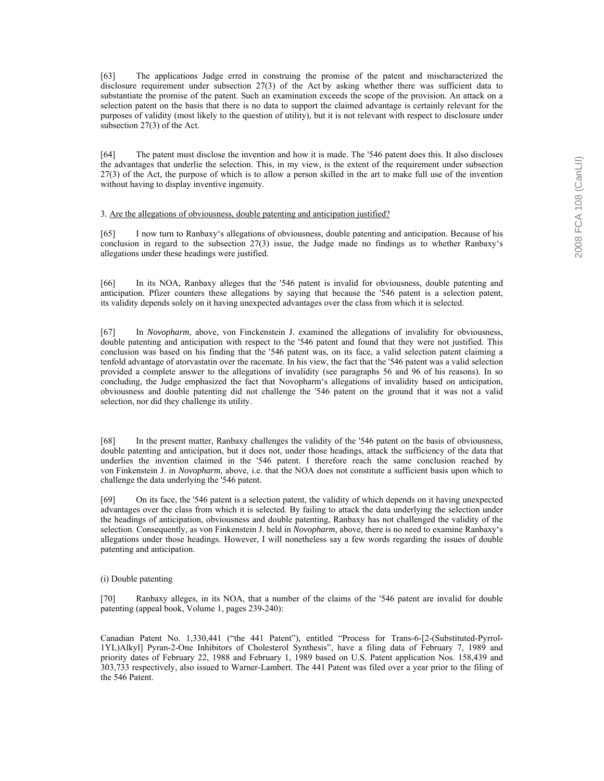[63] The applications Judge erred in construing the promise of the patent and mischaracterized the disclosure requirement under subsection 27(3) of the Act by asking whether there was sufficient data to substantiate the promise of the patent. Such an examination exceeds the scope of the provision. An attack on a selection patent on the basis that there is no data to support the claimed advantage is certainly relevant for the purposes of validity (most likely to the question of utility), but it is not relevant with respect to disclosure under subsection 27(3) of the Act.

[64] The patent must disclose the invention and how it is made. The '546 patent does this. It also discloses the advantages that underlie the selection. This, in my view, is the extent of the requirement under subsection 27(3) of the Act, the purpose of which is to allow a person skilled in the art to make full use of the invention without having to display inventive ingenuity.

# 3. Are the allegations of obviousness, double patenting and anticipation justified?

[65] I now turn to Ranbaxyës allegations of obviousness, double patenting and anticipation. Because of his conclusion in regard to the subsection 27(3) issue, the Judge made no findings as to whether Ranbaxy's allegations under these headings were justified.

[66] In its NOA, Ranbaxy alleges that the '546 patent is invalid for obviousness, double patenting and anticipation. Pfizer counters these allegations by saying that because the '546 patent is a selection patent, its validity depends solely on it having unexpected advantages over the class from which it is selected.

[67] In *Novopharm*, above, von Finckenstein J. examined the allegations of invalidity for obviousness, double patenting and anticipation with respect to the '546 patent and found that they were not justified. This conclusion was based on his finding that the '546 patent was, on its face, a valid selection patent claiming a tenfold advantage of atorvastatin over the racemate. In his view, the fact that the '546 patent was a valid selection provided a complete answer to the allegations of invalidity (see paragraphs 56 and 96 of his reasons). In so concluding, the Judge emphasized the fact that Novopharmës allegations of invalidity based on anticipation, obviousness and double patenting did not challenge the '546 patent on the ground that it was not a valid selection, nor did they challenge its utility.

[68] In the present matter, Ranbaxy challenges the validity of the '546 patent on the basis of obviousness, double patenting and anticipation, but it does not, under those headings, attack the sufficiency of the data that underlies the invention claimed in the '546 patent. I therefore reach the same conclusion reached by von Finkenstein J. in *Novopharm*, above, i.e. that the NOA does not constitute a sufficient basis upon which to challenge the data underlying the '546 patent.

[69] On its face, the '546 patent is a selection patent, the validity of which depends on it having unexpected advantages over the class from which it is selected. By failing to attack the data underlying the selection under the headings of anticipation, obviousness and double patenting, Ranbaxy has not challenged the validity of the selection. Consequently, as von Finkenstein J. held in *Novopharm*, above, there is no need to examine Ranbaxyës allegations under those headings. However, I will nonetheless say a few words regarding the issues of double patenting and anticipation.

## (i) Double patenting

[70] Ranbaxy alleges, in its NOA, that a number of the claims of the '546 patent are invalid for double patenting (appeal book, Volume 1, pages 239-240):

Canadian Patent No. 1,330,441 ("the 441 Patent"), entitled "Process for Trans-6-[2-(Substituted-Pyrrol-1YL)Alkyl] Pyran-2-One Inhibitors of Cholesterol Synthesisî, have a filing data of February 7, 1989 and priority dates of February 22, 1988 and February 1, 1989 based on U.S. Patent application Nos. 158,439 and 303,733 respectively, also issued to Warner-Lambert. The 441 Patent was filed over a year prior to the filing of the 546 Patent.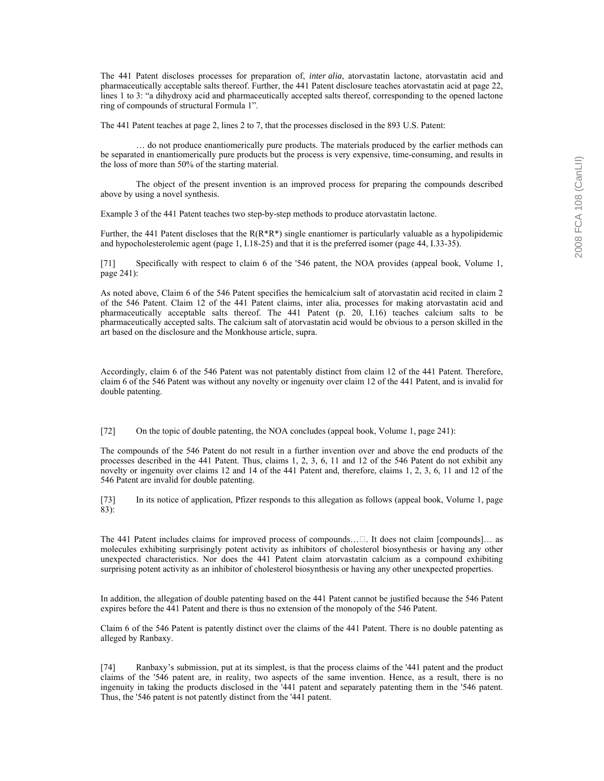The 441 Patent discloses processes for preparation of, *inter alia*, atorvastatin lactone, atorvastatin acid and pharmaceutically acceptable salts thereof. Further, the 441 Patent disclosure teaches atorvastatin acid at page 22, lines 1 to 3: "a dihydroxy acid and pharmaceutically accepted salts thereof, corresponding to the opened lactone ring of compounds of structural Formula 1".

The 441 Patent teaches at page 2, lines 2 to 7, that the processes disclosed in the 893 U.S. Patent:

 $\dots$  do not produce enantiomerically pure products. The materials produced by the earlier methods can be separated in enantiomerically pure products but the process is very expensive, time-consuming, and results in the loss of more than 50% of the starting material.

 The object of the present invention is an improved process for preparing the compounds described above by using a novel synthesis.

Example 3 of the 441 Patent teaches two step-by-step methods to produce atorvastatin lactone.

Further, the 441 Patent discloses that the  $R(R^*R^*)$  single enantiomer is particularly valuable as a hypolipidemic and hypocholesterolemic agent (page 1, I.18-25) and that it is the preferred isomer (page 44, I.33-35).

[71] Specifically with respect to claim 6 of the '546 patent, the NOA provides (appeal book, Volume 1, page 241):

As noted above, Claim 6 of the 546 Patent specifies the hemicalcium salt of atorvastatin acid recited in claim 2 of the 546 Patent. Claim 12 of the 441 Patent claims, inter alia, processes for making atorvastatin acid and pharmaceutically acceptable salts thereof. The 441 Patent (p. 20, I.16) teaches calcium salts to be pharmaceutically accepted salts. The calcium salt of atorvastatin acid would be obvious to a person skilled in the art based on the disclosure and the Monkhouse article, supra.

Accordingly, claim 6 of the 546 Patent was not patentably distinct from claim 12 of the 441 Patent. Therefore, claim 6 of the 546 Patent was without any novelty or ingenuity over claim 12 of the 441 Patent, and is invalid for double patenting.

[72] On the topic of double patenting, the NOA concludes (appeal book, Volume 1, page 241):

The compounds of the 546 Patent do not result in a further invention over and above the end products of the processes described in the 441 Patent. Thus, claims 1, 2, 3, 6, 11 and 12 of the 546 Patent do not exhibit any novelty or ingenuity over claims 12 and 14 of the 441 Patent and, therefore, claims 1, 2, 3, 6, 11 and 12 of the 546 Patent are invalid for double patenting.

[73] In its notice of application, Pfizer responds to this allegation as follows (appeal book, Volume 1, page 83):

The 441 Patent includes claims for improved process of compounds... It does not claim [compounds]... as molecules exhibiting surprisingly potent activity as inhibitors of cholesterol biosynthesis or having any other unexpected characteristics. Nor does the 441 Patent claim atorvastatin calcium as a compound exhibiting surprising potent activity as an inhibitor of cholesterol biosynthesis or having any other unexpected properties.

In addition, the allegation of double patenting based on the 441 Patent cannot be justified because the 546 Patent expires before the 441 Patent and there is thus no extension of the monopoly of the 546 Patent.

Claim 6 of the 546 Patent is patently distinct over the claims of the 441 Patent. There is no double patenting as alleged by Ranbaxy.

[74] Ranbaxyís submission, put at its simplest, is that the process claims of the '441 patent and the product claims of the '546 patent are, in reality, two aspects of the same invention. Hence, as a result, there is no ingenuity in taking the products disclosed in the '441 patent and separately patenting them in the '546 patent. Thus, the '546 patent is not patently distinct from the '441 patent.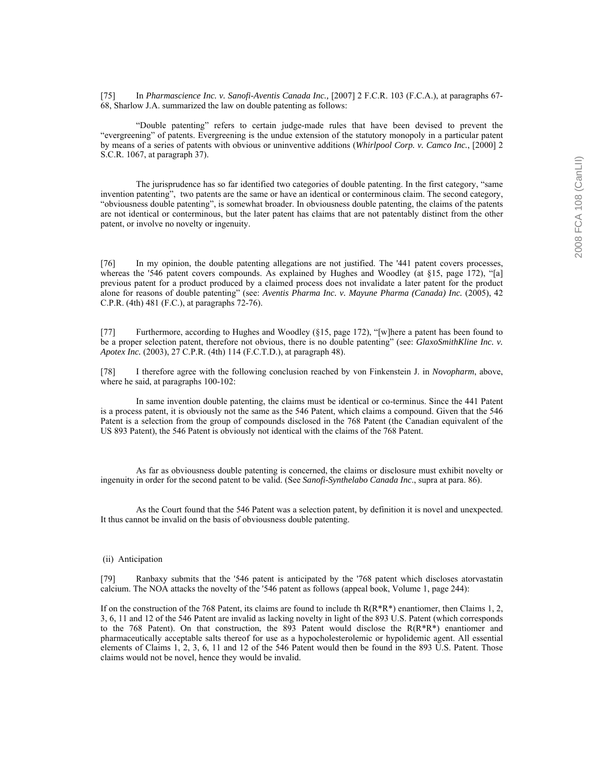[75] In *Pharmascience Inc. v. Sanofi-Aventis Canada Inc.,* [2007] 2 F.C.R. 103 (F.C.A.), at paragraphs 67- 68, Sharlow J.A. summarized the law on double patenting as follows:

 ìDouble patentingî refers to certain judge-made rules that have been devised to prevent the ìevergreeningî of patents. Evergreening is the undue extension of the statutory monopoly in a particular patent by means of a series of patents with obvious or uninventive additions (*Whirlpool Corp. v. Camco Inc.*, [2000] 2 S.C.R. 1067, at paragraph 37).

The jurisprudence has so far identified two categories of double patenting. In the first category, "same invention patentingî, two patents are the same or have an identical or conterminous claim. The second category, ìobviousness double patentingî, is somewhat broader. In obviousness double patenting, the claims of the patents are not identical or conterminous, but the later patent has claims that are not patentably distinct from the other patent, or involve no novelty or ingenuity.

[76] In my opinion, the double patenting allegations are not justified. The '441 patent covers processes, whereas the '546 patent covers compounds. As explained by Hughes and Woodley (at  $$15$ , page 172), "[a] previous patent for a product produced by a claimed process does not invalidate a later patent for the product alone for reasons of double patentingî (see: *Aventis Pharma Inc. v. Mayune Pharma (Canada) Inc.* (2005), 42 C.P.R. (4th) 481 (F.C.), at paragraphs 72-76).

[77] Furthermore, according to Hughes and Woodley (§15, page 172), "[w]here a patent has been found to be a proper selection patent, therefore not obvious, there is no double patenting" (see: *GlaxoSmithKline Inc. v. Apotex Inc.* (2003), 27 C.P.R. (4th) 114 (F.C.T.D.), at paragraph 48).

[78] I therefore agree with the following conclusion reached by von Finkenstein J. in *Novopharm*, above, where he said, at paragraphs 100-102:

 In same invention double patenting, the claims must be identical or co-terminus. Since the 441 Patent is a process patent, it is obviously not the same as the 546 Patent, which claims a compound. Given that the 546 Patent is a selection from the group of compounds disclosed in the 768 Patent (the Canadian equivalent of the US 893 Patent), the 546 Patent is obviously not identical with the claims of the 768 Patent.

 As far as obviousness double patenting is concerned, the claims or disclosure must exhibit novelty or ingenuity in order for the second patent to be valid. (See *Sanofi-Synthelabo Canada Inc*., supra at para. 86).

 As the Court found that the 546 Patent was a selection patent, by definition it is novel and unexpected. It thus cannot be invalid on the basis of obviousness double patenting.

# (ii) Anticipation

[79] Ranbaxy submits that the '546 patent is anticipated by the '768 patent which discloses atorvastatin calcium. The NOA attacks the novelty of the '546 patent as follows (appeal book, Volume 1, page 244):

If on the construction of the 768 Patent, its claims are found to include th  $R(R^*R^*)$  enantiomer, then Claims 1, 2, 3, 6, 11 and 12 of the 546 Patent are invalid as lacking novelty in light of the 893 U.S. Patent (which corresponds to the 768 Patent). On that construction, the 893 Patent would disclose the  $R(R^*R^*)$  enantiomer and pharmaceutically acceptable salts thereof for use as a hypocholesterolemic or hypolidemic agent. All essential elements of Claims 1, 2, 3, 6, 11 and 12 of the 546 Patent would then be found in the 893 U.S. Patent. Those claims would not be novel, hence they would be invalid.